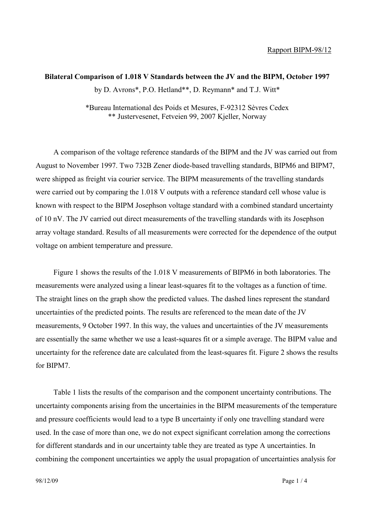## **Bilateral Comparison of 1.018 V Standards between the JV and the BIPM, October 1997** by D. Avrons\*, P.O. Hetland\*\*, D. Reymann\* and T.J. Witt\*

\*Bureau International des Poids et Mesures, F-92312 Sèvres Cedex \*\* Justervesenet, Fetveien 99, 2007 Kjeller, Norway

A comparison of the voltage reference standards of the BIPM and the JV was carried out from August to November 1997. Two 732B Zener diode-based travelling standards, BIPM6 and BIPM7, were shipped as freight via courier service. The BIPM measurements of the travelling standards were carried out by comparing the 1.018 V outputs with a reference standard cell whose value is known with respect to the BIPM Josephson voltage standard with a combined standard uncertainty of 10 nV. The JV carried out direct measurements of the travelling standards with its Josephson array voltage standard. Results of all measurements were corrected for the dependence of the output voltage on ambient temperature and pressure.

Figure 1 shows the results of the 1.018 V measurements of BIPM6 in both laboratories. The measurements were analyzed using a linear least-squares fit to the voltages as a function of time. The straight lines on the graph show the predicted values. The dashed lines represent the standard uncertainties of the predicted points. The results are referenced to the mean date of the JV measurements, 9 October 1997. In this way, the values and uncertainties of the JV measurements are essentially the same whether we use a least-squares fit or a simple average. The BIPM value and uncertainty for the reference date are calculated from the least-squares fit. Figure 2 shows the results for BIPM7.

Table 1 lists the results of the comparison and the component uncertainty contributions. The uncertainty components arising from the uncertainies in the BIPM measurements of the temperature and pressure coefficients would lead to a type B uncertainty if only one travelling standard were used. In the case of more than one, we do not expect significant correlation among the corrections for different standards and in our uncertainty table they are treated as type A uncertainties. In combining the component uncertainties we apply the usual propagation of uncertainties analysis for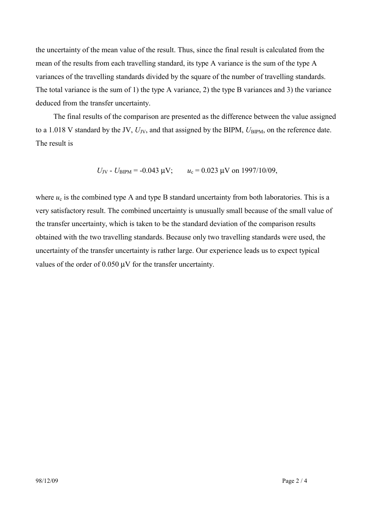the uncertainty of the mean value of the result. Thus, since the final result is calculated from the mean of the results from each travelling standard, its type A variance is the sum of the type A variances of the travelling standards divided by the square of the number of travelling standards. The total variance is the sum of 1) the type A variance, 2) the type B variances and 3) the variance deduced from the transfer uncertainty.

The final results of the comparison are presented as the difference between the value assigned to a 1.018 V standard by the JV,  $U_{\text{JV}}$ , and that assigned by the BIPM,  $U_{\text{BIPM}}$ , on the reference date. The result is

 $U_{\text{JV}}$  -  $U_{\text{BIPM}}$  = -0.043  $\mu$ V;  $u_c$  = 0.023  $\mu$ V on 1997/10/09,

where  $u_c$  is the combined type A and type B standard uncertainty from both laboratories. This is a very satisfactory result. The combined uncertainty is unusually small because of the small value of the transfer uncertainty, which is taken to be the standard deviation of the comparison results obtained with the two travelling standards. Because only two travelling standards were used, the uncertainty of the transfer uncertainty is rather large. Our experience leads us to expect typical values of the order of 0.050 µV for the transfer uncertainty.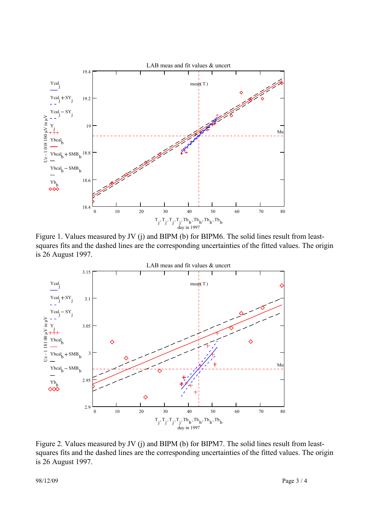

Figure 1. Values measured by JV (j) and BIPM (b) for BIPM6. The solid lines result from leastsquares fits and the dashed lines are the corresponding uncertainties of the fitted values. The origin is 26 August 1997.



Figure 2. Values measured by JV (j) and BIPM (b) for BIPM7. The solid lines result from leastsquares fits and the dashed lines are the corresponding uncertainties of the fitted values. The origin is 26 August 1997.